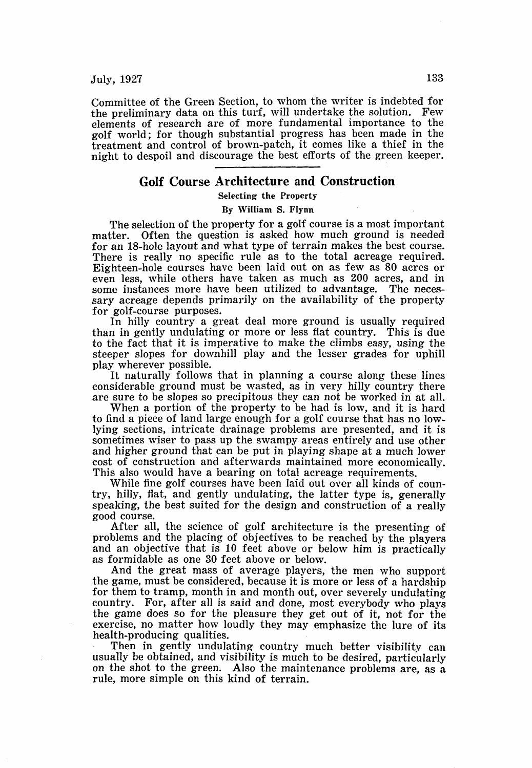Committee of the Green Section, to whom the writer is indebted for the preliminary data on this turf, will undertake the solution. Few elements of research are of more fundamental importance to the golf world; for though substantial progress has been made in the treatment and control of brown-patch, it comes like a thief in the night to despoil and discourage the best efforts of the green keeper.

## **Golf Course Architecture and Construction**

Selecting the Property

## By William S. Flynn

The selection of the property for a golf course is a most important matter. Often the question is asked how much ground is needed for an 18-hole layout and what type of terrain makes the best course. There is really no specific rule as to the total acreage required. Eighteen-hole courses have been laid out on as few as 80 acres or even less, while others have taken as much as 200 acres, and in some instances more have been utilized to advantage. The necessary acreage depends primarily on the availability of the property for golf-course purposes.

In hilly country a great deal more ground is usually required than in gently undulating or more or less flat country. This is due to the fact that it is imperative to make the climbs easy, using the steeper slopes for downhill play and the lesser grades for uphill play wherever possible.

It naturally follows that in planning a course along these lines considerable ground must be wasted, as in very hilly country there are sure to be slopes so precipitous they can not be worked in at all.

When a portion of the property to be had is low, and it is hard to find a piece of land large enough for a golf course that has no lowlying sections, intricate drainage problems are presented, and it is sometimes wiser to pass up the swampy areas entirely and use other and higher ground that can be put in playing shape at a much lower cost of construction and afterwards maintained more economically. This also would have a bearing on total acreage requirements.

While fine golf courses have been laid out over all kinds of country, hilly, flat, and gently undulating, the latter type is, generally speaking, the best suited for the design and construction of a really good course.

After all, the science of golf architecture is the presenting of problems and the placing of objectives to be reached by the players and an objective that is 10 feet above or below him is practically as formidable as one 30 feet above or below.

And the great mass of average players, the men who support the game, must be considered, because it is more or less of a hardship for them to tramp, month in and month out, over severely undulating country. For, after all is said and done, most everybody who plays the game does so for the pleasure they get out of it, not for the exercise, no matter how loudly they may emphasize the lure of its health-producing qualities.

Then in gently undulating country much better visibility can usually be obtained, and visibility is much to be desired, particularly on the shot to the green. Also the maintenance problems are, as a rule, more simple on this kind of terrain.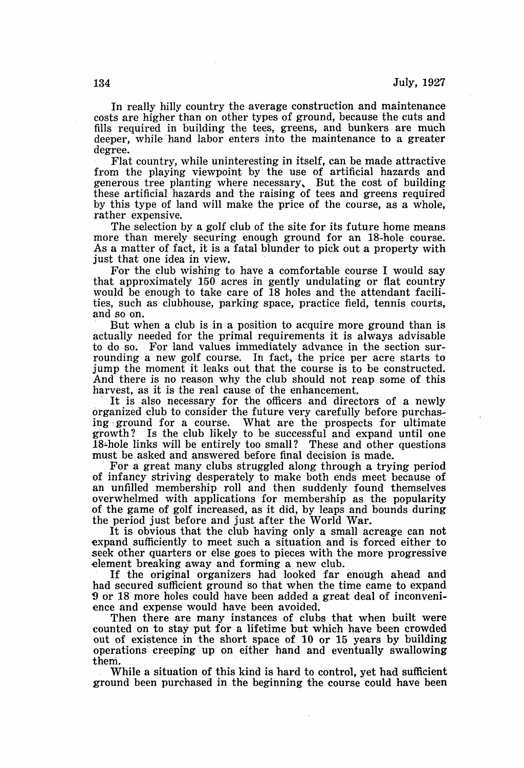In really hilly country the average construction and maintenance costs are higher than on other types of ground, because the cuts and fills required in building the tees, greens, and bunkers are much deeper, while hand labor enters into the maintenance to a greater degree.

Flat country, while uninteresting in itself, can be made attractive from the playing viewpoint by the use of artificial hazards and generous tree planting where necessary, But the cost of building these artificial hazards and the raising of tees and greens required by this type of land will make the price of the course, as a whole, rather expensive.

The selection by a golf club of the site for its future home means more than merely securing enough ground for an 18-hole course. As a matter of fact, it is a fatal blunder to pick out a property with just that one idea in view.

For the club wishing to have a comfortable course I would say that approximately 150 acres in gently undulating or flat country would be enough to take care of 18 holes and the attendant facilities, such as clubhouse, parking space, practice field, tennis courts, and so on.

But when a club is in a position to acquire more ground than is actually needed for the primal requirements it is always advisable to do so. For land values immediately advance in the section surrounding a new golf course. In fact, the price per acre starts to jump the moment it leaks out that the course is to be constructed. And there is no reason why the club should not reap some of this harvest, as it is the real cause of the enhancement.

It is also necessary for the officers and directors of a newly organized club to consider the future very carefully before purchas-<br>ing ground for a course. What are the prospects for ultimate What are the prospects for ultimate. growth? Is the club likely to be successful and expand until one 18-hole links will be entirely too small? These and other questions must be asked and answered before final decision is made.

For a great many clubs struggled along through a trying period of infancy striving desperately to make both ends meet because of an unfilled membership roll and then suddenly found themselves overwhelmed with applications for membership as the popularity of the game of golf increased, as it did, by leaps and bounds during the period just before and just after the World War.

It is obvious that the club having only a small acreage can not expand sufficiently to meet such a situation and is forced either to seek other quarters or else goes to pieces with the more progressive •element breaking away and forming a new club.

If the original organizers had looked far enough ahead and had secured sufficient ground so that when the time came to expand 9 or 18 more holes could have been added a great deal of inconvenience and expense would have been avoided.

Then there are many instances of clubs that when built were counted on to stay put for a lifetime but which have been crowded out of existence in the short space of 10 or 15 years by building operations creeping up on either hand and eventually swallowing them.

While a situation of this kind is hard to control, yet had sufficient ground been purchased in the beginning the course could have been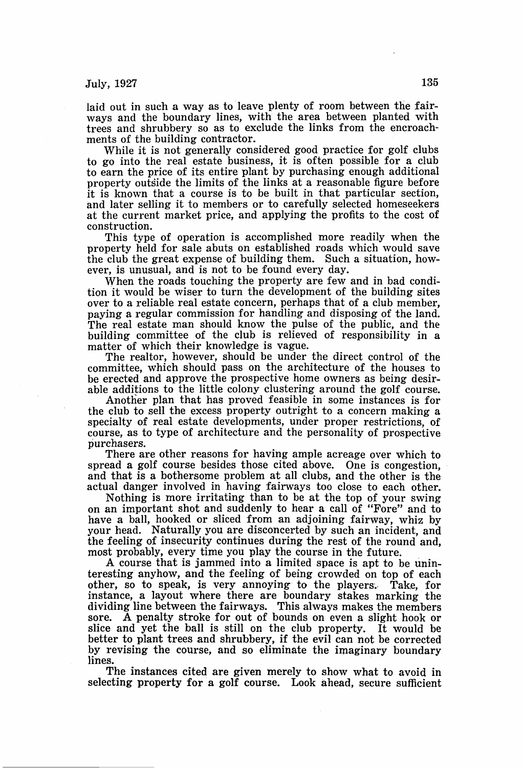July,  $1927$  135

laid out in such a way as to leave plenty of room between the fairways and the boundary lines, with the area between planted with trees and shrubbery so as to exclude the links from the encroachments of the building contractor.

While it is not generally considered good practice for golf clubs to go into the real estate business, it is often possible for a club to earn the price of its entire plant by purchasing enough additional property outside the limits of the links at a reasonable figure before it is known that a course is to be built in that particular section, and later selling it to members or to carefully selected homeseekers at the current market price, and applying the profits to the cost of construction.

This type of operation is accomplished more readily when the property held for sale abuts on established roads which would save the club the great expense of building them. Such a situation, however, is unusual, and is not to be found every day.

When the roads touching the property are few and in bad condition it would be wiser to turn the development of the building sites over to a reliable real estate concern, perhaps that of a club member, paying a regular commission for handling and disposing of the land. The real estate man should know the pulse of the public, and the building committee of the club is relieved of responsibility in a matter of which their knowledge is vague.

The realtor, however, should be under the direct control of the committee, which should pass on the architecture of the houses to be erected and approve the prospective home owners as being desirable additions to the little colony clustering around the golf course.

Another plan that has proved feasible in some instances is for the club to sell the excess property outright to a concern making a specialty of real estate developments, under proper restrictions, of course, as to type of architecture and the personality of prospective purchasers.

There are other reasons for having ample acreage over which to spread a golf course besides those cited above. One is congestion, and that is a bothersome problem at all clubs, and the other is the actual danger involved in having fairways too close to each other.

Nothing is more irritating than to be at the top of your swing on an important shot and suddenly to hear a call of "Fore" and to have a ball, hooked or sliced from an adjoining fairway, whiz by your head. Naturally you are disconcerted by such an incident, and the feeling of insecurity continues during the rest of the round and, most probably, every time you play the course in the future.

A course that is jammed into a limited space is apt to be uninteresting anyhow, and the feeling of being crowded on top of each other, so to speak, is very annoying to the players. Take, for instance, a layout where there are boundary stakes marking the dividing line between the fairways. This always makes the members sore. A penalty stroke for out of bounds on even a slight hook or slice and yet the ball is still on the club property. It would be better to plant trees and shrubbery, if the evil can not be corrected by revising the course, and so eliminate the imaginary boundary lines.

The instances cited are given merely to show what to avoid in selecting property for a golf course. Look ahead, secure sufficient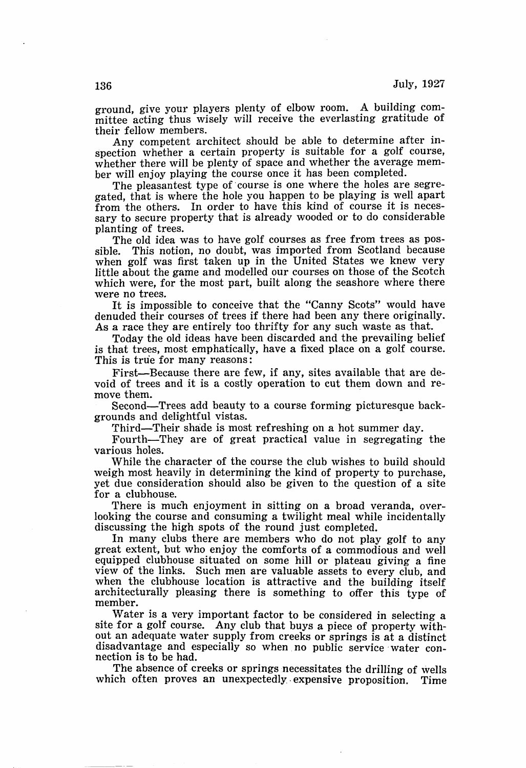ground, give your players plenty of elbow room. A building committee acting thus wisely will receive the everlasting gratitude of their fellow members.

Any competent architect should be able to determine after inspection whether a certain property is suitable for a golf course, whether there will be plenty of space and whether the average member will enjoy playing the course once it has been completed.

The pleasantest type of course is one where the holes are segregated, that is where the hole you happen to be playing is well apart from the others. In order to have this kind of course it is necessary to secure property that is already wooded or to do considerable planting of trees.

The old idea was to have golf courses as free from trees as possible. This notion, no doubt, was imported from Scotland because when golf was first taken up in the United States we knew very little about the game and modelled our courses on those of the Scotch which were, for the most part, built along the seashore where there were no trees.

It is impossible to conceive that the "Canny Scots" would have denuded their courses of trees if there had been any there originally. As a race they are entirely too thrifty for any such waste as that.

Today the old ideas have been discarded and the prevailing belief is that trees, most emphatically, have a fixed place on a golf course. This is tru'e for many reasons:

First-Because there are few, if any, sites available that are devoid of trees and it is a costly operation to cut them down and remove them.

Second-Trees add beauty to a course forming picturesque backgrounds and delightful vistas.

Third-Their shade is most refreshing on a hot summer day.

Fourth-They are of great practical value in segregating the various holes.

While the character of the course the club wishes to build should weigh most heavily in determining the kind of property to purchase, yet due consideration should also be given to the question of a site for a clubhouse.

There is much enjoyment in sitting on a broad veranda, overlooking the course and consuming a twilight meal while incidentally discussing the high spots of the round just completed.

In many clubs there are members who do not play golf to any great extent, but who enjoy the comforts of a commodious and well equipped clubhouse situated on some hill or plateau giving a fine view of the links. Such men are valuable assets to every club, and when the clubhouse location is attractive and the building itself architecturally pleasing there is something to offer this type of member.

Water is a very important factor to be considered in selecting a site for a golf course. Any club that buys a piece of property without an adequate water supply from creeks or springs is at a distinct disadvantage and especially so when. no public service. water connection is to be had.

The absence of creeks or springs necessitates the drilling of wells which often proves an unexpectedly. expensive proposition. Time